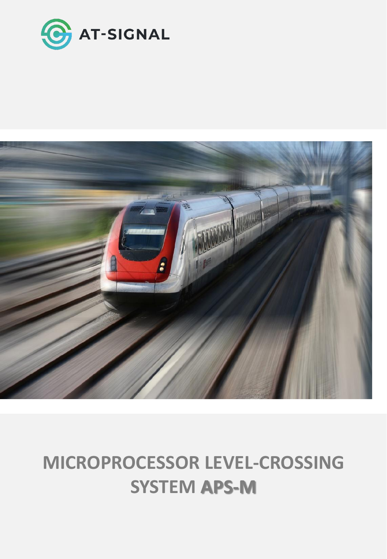

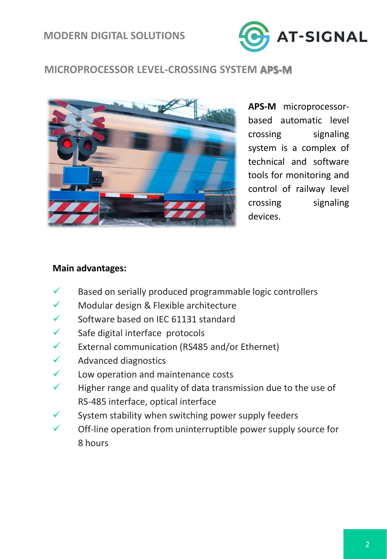



**APS-M** microprocessorbased automatic level crossing signaling system is a complex of technical and software tools for monitoring and control of railway level crossing signaling devices.

#### **Main advantages:**

- $\checkmark$  Based on serially produced programmable logic controllers
- ✓ Modular design & Flexible architecture
- ✓ Software based on IEC 61131 standard
- $\checkmark$  Safe digital interface protocols
- $\checkmark$  External communication (RS485 and/or Ethernet)
- $\checkmark$  Advanced diagnostics
- $\checkmark$  Low operation and maintenance costs
- $\checkmark$  Higher range and quality of data transmission due to the use of RS-485 interface, optical interface
- $\checkmark$  System stability when switching power supply feeders
- $\checkmark$  Off-line operation from uninterruptible power supply source for 8 hours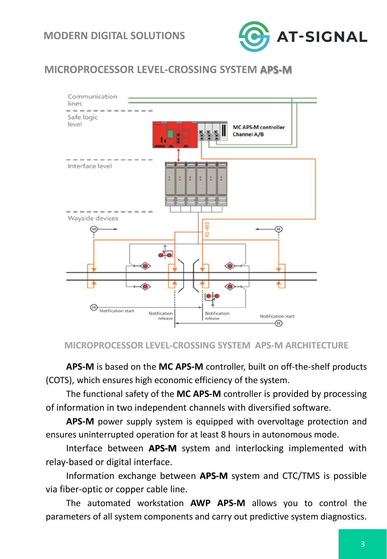



#### **MICROPROCESSOR LEVEL-CROSSING SYSTEM APS-M ARCHITECTURE**

**APS-M** is based on the **MC APS-M** controller, built on off-the-shelf products (COTS), which ensures high economic efficiency of the system.

The functional safety of the **MC APS-M** controller is provided by processing of information in two independent channels with diversified software.

**APS-M** power supply system is equipped with overvoltage protection and ensures uninterrupted operation for at least 8 hours in autonomous mode.

Interface between **APS-M** system and interlocking implemented with relay-based or digital interface.

Information exchange between **APS-M** system and CTC/TMS is possible via fiber-optic or copper cable line.

The automated workstation **AWP APS-M** allows you to control the parameters of all system components and carry out predictive system diagnostics.